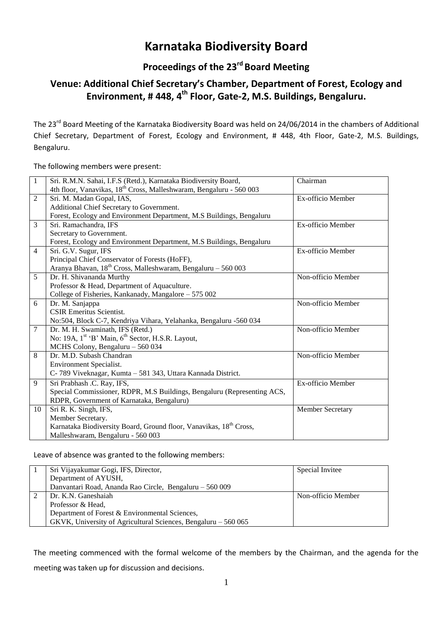# **Karnataka Biodiversity Board**

## **Proceedings of the 23 rd Board Meeting**

## **Venue: Additional Chief Secretary's Chamber, Department of Forest, Ecology and Environment, # 448, 4th Floor, Gate-2, M.S. Buildings, Bengaluru.**

The 23<sup>rd</sup> Board Meeting of the Karnataka Biodiversity Board was held on 24/06/2014 in the chambers of Additional Chief Secretary, Department of Forest, Ecology and Environment, # 448, 4th Floor, Gate-2, M.S. Buildings, Bengaluru.

The following members were present:

| $\mathbf{1}$   | Sri. R.M.N. Sahai, I.F.S (Retd.), Karnataka Biodiversity Board,                 | Chairman           |
|----------------|---------------------------------------------------------------------------------|--------------------|
|                | 4th floor, Vanavikas, 18 <sup>th</sup> Cross, Malleshwaram, Bengaluru - 560 003 |                    |
| $\overline{2}$ | Sri. M. Madan Gopal, IAS,                                                       | Ex-officio Member  |
|                | Additional Chief Secretary to Government.                                       |                    |
|                | Forest, Ecology and Environment Department, M.S Buildings, Bengaluru            |                    |
| 3              | Sri. Ramachandra, IFS                                                           | Ex-officio Member  |
|                | Secretary to Government.                                                        |                    |
|                | Forest, Ecology and Environment Department, M.S Buildings, Bengaluru            |                    |
| $\overline{4}$ | Sri. G.V. Sugur, IFS                                                            | Ex-officio Member  |
|                | Principal Chief Conservator of Forests (HoFF),                                  |                    |
|                | Aranya Bhavan, 18 <sup>th</sup> Cross, Malleshwaram, Bengaluru - 560 003        |                    |
| 5              | Dr. H. Shivananda Murthy                                                        | Non-officio Member |
|                | Professor & Head, Department of Aquaculture.                                    |                    |
|                | College of Fisheries, Kankanady, Mangalore - 575 002                            |                    |
| 6              | Dr. M. Sanjappa                                                                 | Non-officio Member |
|                | <b>CSIR Emeritus Scientist.</b>                                                 |                    |
|                | No:504, Block C-7, Kendriya Vihara, Yelahanka, Bengaluru -560 034               |                    |
| 7              | Dr. M. H. Swaminath, IFS (Retd.)                                                | Non-officio Member |
|                | No: 19A, 1st 'B' Main, 6 <sup>th</sup> Sector, H.S.R. Layout,                   |                    |
|                | MCHS Colony, Bengaluru - 560 034                                                |                    |
| 8              | Dr. M.D. Subash Chandran                                                        | Non-officio Member |
|                | Environment Specialist.                                                         |                    |
|                | C-789 Viveknagar, Kumta - 581 343, Uttara Kannada District.                     |                    |
| 9              | Sri Prabhash .C. Ray, IFS,                                                      | Ex-officio Member  |
|                | Special Commissioner, RDPR, M.S Buildings, Bengaluru (Representing ACS,         |                    |
|                | RDPR, Government of Karnataka, Bengaluru)                                       |                    |
| 10             | Sri R. K. Singh, IFS,                                                           | Member Secretary   |
|                | Member Secretary.                                                               |                    |
|                | Karnataka Biodiversity Board, Ground floor, Vanavikas, 18 <sup>th</sup> Cross,  |                    |
|                | Malleshwaram, Bengaluru - 560 003                                               |                    |

## Leave of absence was granted to the following members:

| Sri Vijayakumar Gogi, IFS, Director,                           | Special Invitee    |
|----------------------------------------------------------------|--------------------|
| Department of AYUSH,                                           |                    |
| Danvantari Road, Ananda Rao Circle, Bengaluru - 560 009        |                    |
| Dr. K.N. Ganeshaiah                                            | Non-officio Member |
| Professor & Head,                                              |                    |
| Department of Forest & Environmental Sciences,                 |                    |
| GKVK, University of Agricultural Sciences, Bengaluru – 560 065 |                    |

The meeting commenced with the formal welcome of the members by the Chairman, and the agenda for the meeting was taken up for discussion and decisions.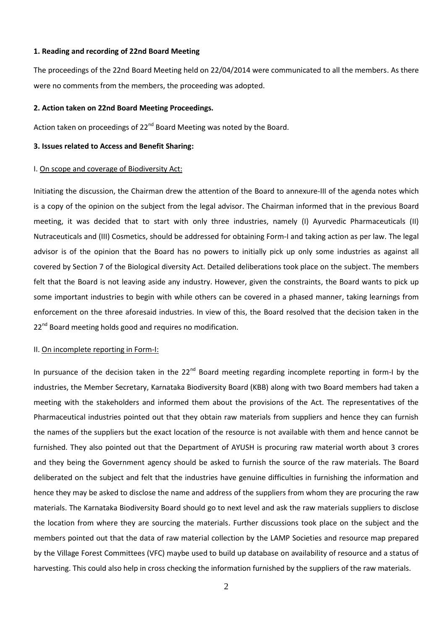#### **1. Reading and recording of 22nd Board Meeting**

The proceedings of the 22nd Board Meeting held on 22/04/2014 were communicated to all the members. As there were no comments from the members, the proceeding was adopted.

#### **2. Action taken on 22nd Board Meeting Proceedings.**

Action taken on proceedings of  $22^{nd}$  Board Meeting was noted by the Board.

#### **3. Issues related to Access and Benefit Sharing:**

#### I. On scope and coverage of Biodiversity Act:

Initiating the discussion, the Chairman drew the attention of the Board to annexure-III of the agenda notes which is a copy of the opinion on the subject from the legal advisor. The Chairman informed that in the previous Board meeting, it was decided that to start with only three industries, namely (I) Ayurvedic Pharmaceuticals (II) Nutraceuticals and (III) Cosmetics, should be addressed for obtaining Form-I and taking action as per law. The legal advisor is of the opinion that the Board has no powers to initially pick up only some industries as against all covered by Section 7 of the Biological diversity Act. Detailed deliberations took place on the subject. The members felt that the Board is not leaving aside any industry. However, given the constraints, the Board wants to pick up some important industries to begin with while others can be covered in a phased manner, taking learnings from enforcement on the three aforesaid industries. In view of this, the Board resolved that the decision taken in the 22<sup>nd</sup> Board meeting holds good and requires no modification.

#### II. On incomplete reporting in Form-I:

In pursuance of the decision taken in the  $22^{nd}$  Board meeting regarding incomplete reporting in form-I by the industries, the Member Secretary, Karnataka Biodiversity Board (KBB) along with two Board members had taken a meeting with the stakeholders and informed them about the provisions of the Act. The representatives of the Pharmaceutical industries pointed out that they obtain raw materials from suppliers and hence they can furnish the names of the suppliers but the exact location of the resource is not available with them and hence cannot be furnished. They also pointed out that the Department of AYUSH is procuring raw material worth about 3 crores and they being the Government agency should be asked to furnish the source of the raw materials. The Board deliberated on the subject and felt that the industries have genuine difficulties in furnishing the information and hence they may be asked to disclose the name and address of the suppliers from whom they are procuring the raw materials. The Karnataka Biodiversity Board should go to next level and ask the raw materials suppliers to disclose the location from where they are sourcing the materials. Further discussions took place on the subject and the members pointed out that the data of raw material collection by the LAMP Societies and resource map prepared by the Village Forest Committees (VFC) maybe used to build up database on availability of resource and a status of harvesting. This could also help in cross checking the information furnished by the suppliers of the raw materials.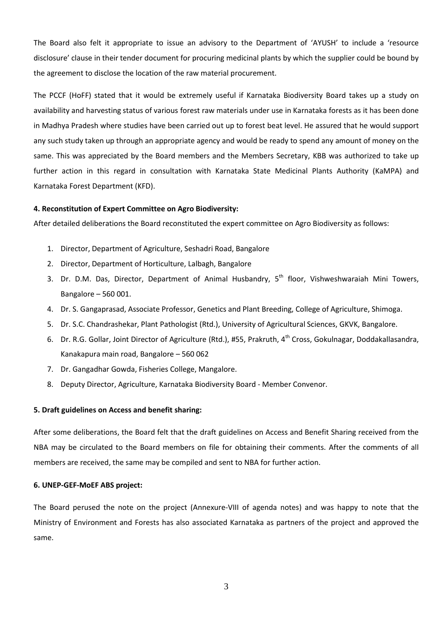The Board also felt it appropriate to issue an advisory to the Department of 'AYUSH' to include a 'resource disclosure' clause in their tender document for procuring medicinal plants by which the supplier could be bound by the agreement to disclose the location of the raw material procurement.

The PCCF (HoFF) stated that it would be extremely useful if Karnataka Biodiversity Board takes up a study on availability and harvesting status of various forest raw materials under use in Karnataka forests as it has been done in Madhya Pradesh where studies have been carried out up to forest beat level. He assured that he would support any such study taken up through an appropriate agency and would be ready to spend any amount of money on the same. This was appreciated by the Board members and the Members Secretary, KBB was authorized to take up further action in this regard in consultation with Karnataka State Medicinal Plants Authority (KaMPA) and Karnataka Forest Department (KFD).

#### **4. Reconstitution of Expert Committee on Agro Biodiversity:**

After detailed deliberations the Board reconstituted the expert committee on Agro Biodiversity as follows:

- 1. Director, Department of Agriculture, Seshadri Road, Bangalore
- 2. Director, Department of Horticulture, Lalbagh, Bangalore
- 3. Dr. D.M. Das, Director, Department of Animal Husbandry, 5<sup>th</sup> floor, Vishweshwaraiah Mini Towers, Bangalore – 560 001.
- 4. Dr. S. Gangaprasad, Associate Professor, Genetics and Plant Breeding, College of Agriculture, Shimoga.
- 5. Dr. S.C. Chandrashekar, Plant Pathologist (Rtd.), University of Agricultural Sciences, GKVK, Bangalore.
- 6. Dr. R.G. Gollar, Joint Director of Agriculture (Rtd.), #55, Prakruth, 4<sup>th</sup> Cross, Gokulnagar, Doddakallasandra, Kanakapura main road, Bangalore – 560 062
- 7. Dr. Gangadhar Gowda, Fisheries College, Mangalore.
- 8. Deputy Director, Agriculture, Karnataka Biodiversity Board Member Convenor.

#### **5. Draft guidelines on Access and benefit sharing:**

After some deliberations, the Board felt that the draft guidelines on Access and Benefit Sharing received from the NBA may be circulated to the Board members on file for obtaining their comments. After the comments of all members are received, the same may be compiled and sent to NBA for further action.

#### **6. UNEP-GEF-MoEF ABS project:**

The Board perused the note on the project (Annexure-VIII of agenda notes) and was happy to note that the Ministry of Environment and Forests has also associated Karnataka as partners of the project and approved the same.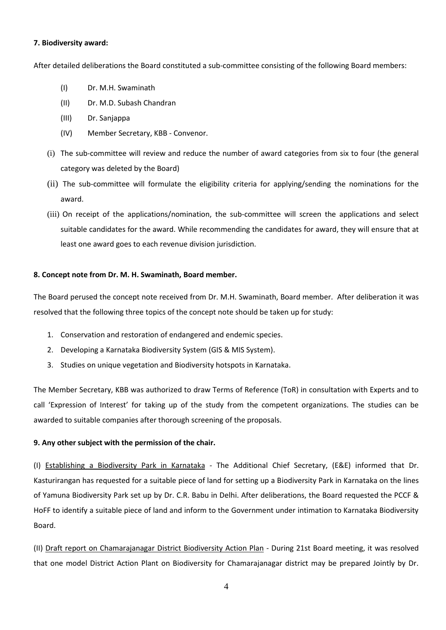### **7. Biodiversity award:**

After detailed deliberations the Board constituted a sub-committee consisting of the following Board members:

- (I) Dr. M.H. Swaminath
- (II) Dr. M.D. Subash Chandran
- (III) Dr. Sanjappa
- (IV) Member Secretary, KBB Convenor.
- (i) The sub-committee will review and reduce the number of award categories from six to four (the general category was deleted by the Board)
- (ii) The sub-committee will formulate the eligibility criteria for applying/sending the nominations for the award.
- (iii) On receipt of the applications/nomination, the sub-committee will screen the applications and select suitable candidates for the award. While recommending the candidates for award, they will ensure that at least one award goes to each revenue division jurisdiction.

## **8. Concept note from Dr. M. H. Swaminath, Board member.**

The Board perused the concept note received from Dr. M.H. Swaminath, Board member. After deliberation it was resolved that the following three topics of the concept note should be taken up for study:

- 1. Conservation and restoration of endangered and endemic species.
- 2. Developing a Karnataka Biodiversity System (GIS & MIS System).
- 3. Studies on unique vegetation and Biodiversity hotspots in Karnataka.

The Member Secretary, KBB was authorized to draw Terms of Reference (ToR) in consultation with Experts and to call 'Expression of Interest' for taking up of the study from the competent organizations. The studies can be awarded to suitable companies after thorough screening of the proposals.

## **9. Any other subject with the permission of the chair.**

(I) Establishing a Biodiversity Park in Karnataka - The Additional Chief Secretary, (E&E) informed that Dr. Kasturirangan has requested for a suitable piece of land for setting up a Biodiversity Park in Karnataka on the lines of Yamuna Biodiversity Park set up by Dr. C.R. Babu in Delhi. After deliberations, the Board requested the PCCF & HoFF to identify a suitable piece of land and inform to the Government under intimation to Karnataka Biodiversity Board.

(II) Draft report on Chamarajanagar District Biodiversity Action Plan - During 21st Board meeting, it was resolved that one model District Action Plant on Biodiversity for Chamarajanagar district may be prepared Jointly by Dr.